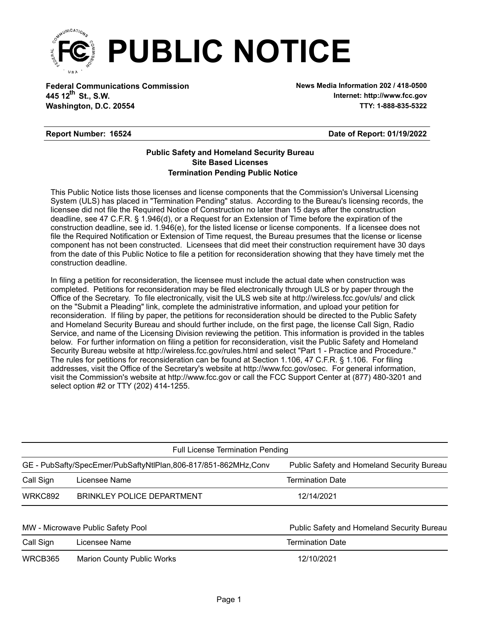

**Federal Communications Commission News Media Information 202 / 418-0500 Washington, D.C. 20554 TTY: 1-888-835-5322 445 12<sup>th</sup> St., S.W.** 

**Internet: http://www.fcc.gov**

## **Report Number: 16524**

## **Date of Report: 01/19/2022**

## **Termination Pending Public Notice Site Based Licenses Public Safety and Homeland Security Bureau**

This Public Notice lists those licenses and license components that the Commission's Universal Licensing System (ULS) has placed in "Termination Pending" status. According to the Bureau's licensing records, the licensee did not file the Required Notice of Construction no later than 15 days after the construction deadline, see 47 C.F.R. § 1.946(d), or a Request for an Extension of Time before the expiration of the construction deadline, see id. 1.946(e), for the listed license or license components. If a licensee does not file the Required Notification or Extension of Time request, the Bureau presumes that the license or license component has not been constructed. Licensees that did meet their construction requirement have 30 days from the date of this Public Notice to file a petition for reconsideration showing that they have timely met the construction deadline.

In filing a petition for reconsideration, the licensee must include the actual date when construction was completed. Petitions for reconsideration may be filed electronically through ULS or by paper through the Office of the Secretary. To file electronically, visit the ULS web site at http://wireless.fcc.gov/uls/ and click on the "Submit a Pleading" link, complete the administrative information, and upload your petition for reconsideration. If filing by paper, the petitions for reconsideration should be directed to the Public Safety and Homeland Security Bureau and should further include, on the first page, the license Call Sign, Radio Service, and name of the Licensing Division reviewing the petition. This information is provided in the tables below. For further information on filing a petition for reconsideration, visit the Public Safety and Homeland Security Bureau website at http://wireless.fcc.gov/rules.html and select "Part 1 - Practice and Procedure." The rules for petitions for reconsideration can be found at Section 1.106, 47 C.F.R. § 1.106. For filing addresses, visit the Office of the Secretary's website at http://www.fcc.gov/osec. For general information, visit the Commission's website at http://www.fcc.gov or call the FCC Support Center at (877) 480-3201 and select option #2 or TTY (202) 414-1255.

| <b>Full License Termination Pending</b>                                                                      |                                   |                                            |  |  |  |
|--------------------------------------------------------------------------------------------------------------|-----------------------------------|--------------------------------------------|--|--|--|
| Public Safety and Homeland Security Bureau<br>GE - PubSafty/SpecEmer/PubSaftyNtlPlan,806-817/851-862MHz,Conv |                                   |                                            |  |  |  |
| Call Sign                                                                                                    | Licensee Name                     | <b>Termination Date</b>                    |  |  |  |
| <b>WRKC892</b>                                                                                               | <b>BRINKLEY POLICE DEPARTMENT</b> | 12/14/2021                                 |  |  |  |
|                                                                                                              |                                   |                                            |  |  |  |
| MW - Microwave Public Safety Pool                                                                            |                                   | Public Safety and Homeland Security Bureau |  |  |  |
| Call Sign                                                                                                    | Licensee Name                     | <b>Termination Date</b>                    |  |  |  |
| WRCB365                                                                                                      | <b>Marion County Public Works</b> | 12/10/2021                                 |  |  |  |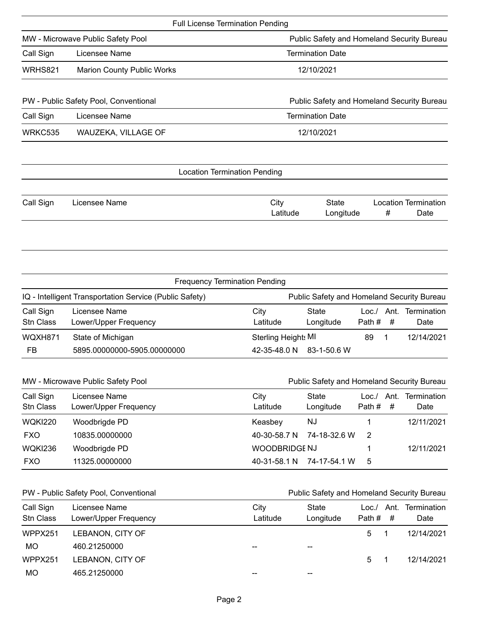|                                   |                                                         | <b>Full License Termination Pending</b>    |                                            |                  |           |                                      |
|-----------------------------------|---------------------------------------------------------|--------------------------------------------|--------------------------------------------|------------------|-----------|--------------------------------------|
| MW - Microwave Public Safety Pool |                                                         |                                            | Public Safety and Homeland Security Bureau |                  |           |                                      |
| Call Sign                         | Licensee Name                                           |                                            | <b>Termination Date</b>                    |                  |           |                                      |
| WRHS821                           | <b>Marion County Public Works</b>                       |                                            | 12/10/2021                                 |                  |           |                                      |
|                                   | PW - Public Safety Pool, Conventional                   |                                            | Public Safety and Homeland Security Bureau |                  |           |                                      |
| Call Sign                         | Licensee Name                                           |                                            | <b>Termination Date</b>                    |                  |           |                                      |
| WRKC535                           | WAUZEKA, VILLAGE OF                                     |                                            | 12/10/2021                                 |                  |           |                                      |
|                                   |                                                         | <b>Location Termination Pending</b>        |                                            |                  |           |                                      |
| Call Sign                         | Licensee Name                                           | City                                       | <b>State</b>                               |                  | #         | <b>Location Termination</b><br>Date  |
|                                   |                                                         | Latitude                                   | Longitude                                  |                  |           |                                      |
|                                   |                                                         | <b>Frequency Termination Pending</b>       |                                            |                  |           |                                      |
|                                   | IQ - Intelligent Transportation Service (Public Safety) |                                            | Public Safety and Homeland Security Bureau |                  |           |                                      |
| Call Sign<br><b>Stn Class</b>     | Licensee Name<br>Lower/Upper Frequency                  | City<br>Latitude                           | <b>State</b><br>Longitude                  | Path#            | #         | Date                                 |
| WQXH871                           |                                                         |                                            |                                            | 89               | 1         |                                      |
| FB                                | State of Michigan<br>5895.00000000-5905.00000000        | <b>Sterling Height: MI</b><br>42-35-48.0 N | 83-1-50.6 W                                |                  |           | Loc./ Ant. Termination<br>12/14/2021 |
|                                   | MW - Microwave Public Safety Pool                       |                                            | Public Safety and Homeland Security Bureau |                  |           |                                      |
| Call Sign<br>Stn Class            | Licensee Name<br>Lower/Upper Frequency                  | City<br>Latitude                           | <b>State</b><br>Longitude                  | Loc. /<br>Path # | Ant.<br># | Termination<br>Date                  |
| <b>WQKI220</b>                    |                                                         | Keasbey                                    | <b>NJ</b>                                  | 1                |           | 12/11/2021                           |
| <b>FXO</b>                        | Woodbrigde PD<br>10835.00000000                         | 40-30-58.7 N                               | 74-18-32.6 W                               | 2                |           |                                      |
| <b>WQKI236</b>                    | Woodbrigde PD                                           | <b>WOODBRIDGE NJ</b>                       |                                            | 1                |           | 12/11/2021                           |

| Call Sign<br>Stn Class | Licensee Name<br>Lower/Upper Frequency | City<br>Latitude | State<br>Longitude | Loc./ Ant. Termination<br>Path #<br>- #<br>Date |
|------------------------|----------------------------------------|------------------|--------------------|-------------------------------------------------|
| WPPX251                | LEBANON, CITY OF                       |                  |                    | 12/14/2021<br>5.                                |
| МO                     | 460.21250000                           |                  | --                 |                                                 |
| WPPX251                | LEBANON, CITY OF                       |                  |                    | 12/14/2021<br>5.                                |
| MO                     | 465.21250000                           | --               | $- -$              |                                                 |